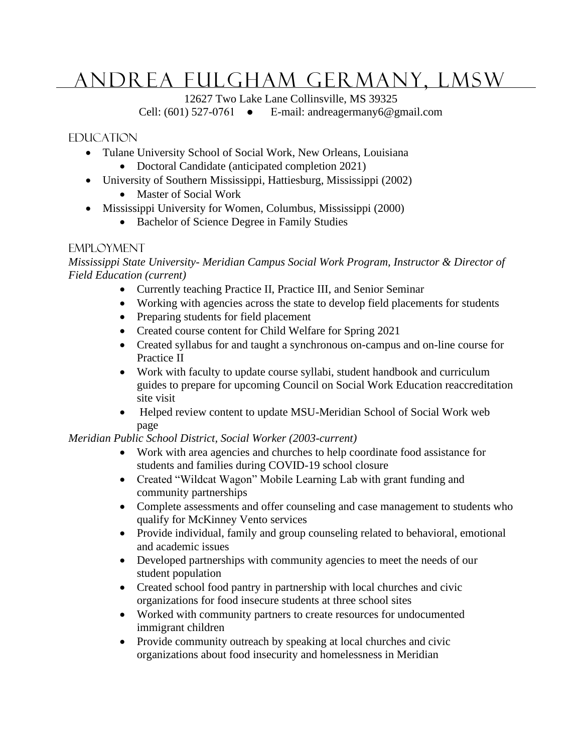# Andrea Fulgham Germany, LMSW

12627 Two Lake Lane Collinsville, MS 39325

Cell:  $(601)$  527-0761 • E-mail: andreagermany6@gmail.com

### **EDUCATION**

- Tulane University School of Social Work, New Orleans, Louisiana
	- Doctoral Candidate (anticipated completion 2021)
- University of Southern Mississippi, Hattiesburg, Mississippi (2002)
	- Master of Social Work
- Mississippi University for Women, Columbus, Mississippi (2000)
	- Bachelor of Science Degree in Family Studies

#### **EMPLOYMENT**

*Mississippi State University- Meridian Campus Social Work Program, Instructor & Director of Field Education (current)*

- Currently teaching Practice II, Practice III, and Senior Seminar
- Working with agencies across the state to develop field placements for students
- Preparing students for field placement
- Created course content for Child Welfare for Spring 2021
- Created syllabus for and taught a synchronous on-campus and on-line course for Practice II
- Work with faculty to update course syllabi, student handbook and curriculum guides to prepare for upcoming Council on Social Work Education reaccreditation site visit
- Helped review content to update MSU-Meridian School of Social Work web page

#### *Meridian Public School District, Social Worker (2003-current)*

- Work with area agencies and churches to help coordinate food assistance for students and families during COVID-19 school closure
- Created "Wildcat Wagon" Mobile Learning Lab with grant funding and community partnerships
- Complete assessments and offer counseling and case management to students who qualify for McKinney Vento services
- Provide individual, family and group counseling related to behavioral, emotional and academic issues
- Developed partnerships with community agencies to meet the needs of our student population
- Created school food pantry in partnership with local churches and civic organizations for food insecure students at three school sites
- Worked with community partners to create resources for undocumented immigrant children
- Provide community outreach by speaking at local churches and civic organizations about food insecurity and homelessness in Meridian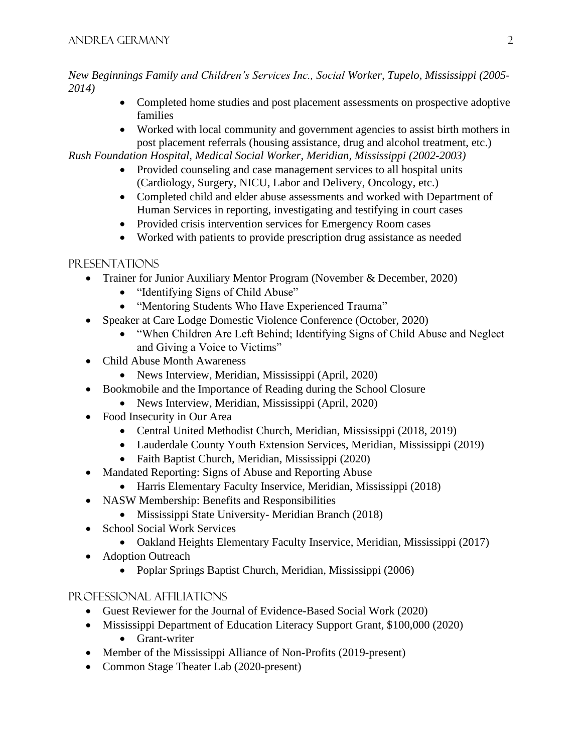*New Beginnings Family and Children's Services Inc., Social Worker, Tupelo, Mississippi (2005- 2014)*

- Completed home studies and post placement assessments on prospective adoptive families
- Worked with local community and government agencies to assist birth mothers in post placement referrals (housing assistance, drug and alcohol treatment, etc.)

*Rush Foundation Hospital, Medical Social Worker, Meridian, Mississippi (2002-2003)*

- Provided counseling and case management services to all hospital units (Cardiology, Surgery, NICU, Labor and Delivery, Oncology, etc.)
- Completed child and elder abuse assessments and worked with Department of Human Services in reporting, investigating and testifying in court cases
- Provided crisis intervention services for Emergency Room cases
- Worked with patients to provide prescription drug assistance as needed

# Presentations

- Trainer for Junior Auxiliary Mentor Program (November & December, 2020)
	- "Identifying Signs of Child Abuse"
	- "Mentoring Students Who Have Experienced Trauma"
- Speaker at Care Lodge Domestic Violence Conference (October, 2020)
	- "When Children Are Left Behind; Identifying Signs of Child Abuse and Neglect and Giving a Voice to Victims"
- Child Abuse Month Awareness
	- News Interview, Meridian, Mississippi (April, 2020)
- Bookmobile and the Importance of Reading during the School Closure
	- News Interview, Meridian, Mississippi (April, 2020)
- Food Insecurity in Our Area
	- Central United Methodist Church, Meridian, Mississippi (2018, 2019)
	- Lauderdale County Youth Extension Services, Meridian, Mississippi (2019)
	- Faith Baptist Church, Meridian, Mississippi (2020)
- Mandated Reporting: Signs of Abuse and Reporting Abuse
	- Harris Elementary Faculty Inservice, Meridian, Mississippi (2018)
- NASW Membership: Benefits and Responsibilities
	- Mississippi State University- Meridian Branch (2018)
- School Social Work Services
	- Oakland Heights Elementary Faculty Inservice, Meridian, Mississippi (2017)
- Adoption Outreach
	- Poplar Springs Baptist Church, Meridian, Mississippi (2006)

## Professional Affiliations

- Guest Reviewer for the Journal of Evidence-Based Social Work (2020)
- Mississippi Department of Education Literacy Support Grant, \$100,000 (2020) • Grant-writer
- Member of the Mississippi Alliance of Non-Profits (2019-present)
- Common Stage Theater Lab (2020-present)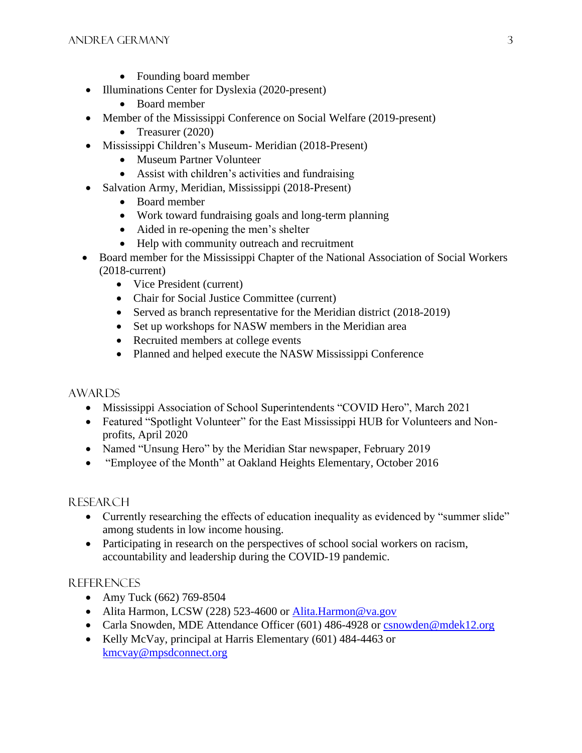- Founding board member
- Illuminations Center for Dyslexia (2020-present)
	- Board member
- Member of the Mississippi Conference on Social Welfare (2019-present)
	- Treasurer (2020)
- Mississippi Children's Museum- Meridian (2018-Present)
	- Museum Partner Volunteer
	- Assist with children's activities and fundraising
- Salvation Army, Meridian, Mississippi (2018-Present)
	- Board member
	- Work toward fundraising goals and long-term planning
	- Aided in re-opening the men's shelter
	- Help with community outreach and recruitment
- Board member for the Mississippi Chapter of the National Association of Social Workers (2018-current)
	- Vice President (current)
	- Chair for Social Justice Committee (current)
	- Served as branch representative for the Meridian district (2018-2019)
	- Set up workshops for NASW members in the Meridian area
	- Recruited members at college events
	- Planned and helped execute the NASW Mississippi Conference

#### AWARDS

- Mississippi Association of School Superintendents "COVID Hero", March 2021
- Featured "Spotlight Volunteer" for the East Mississippi HUB for Volunteers and Nonprofits, April 2020
- Named "Unsung Hero" by the Meridian Star newspaper, February 2019
- "Employee of the Month" at Oakland Heights Elementary, October 2016

#### **RESEARCH**

- Currently researching the effects of education inequality as evidenced by "summer slide" among students in low income housing.
- Participating in research on the perspectives of school social workers on racism, accountability and leadership during the COVID-19 pandemic.

## REFERENCES

- Amy Tuck (662) 769-8504
- Alita Harmon, LCSW (228) 523-4600 or [Alita.Harmon@va.gov](mailto:Alita.Harmon@va.gov)
- Carla Snowden, MDE Attendance Officer (601) 486-4928 or [csnowden@mdek12.org](mailto:csnowden@mdek12.org)
- Kelly McVay, principal at Harris Elementary (601) 484-4463 or [kmcvay@mpsdconnect.org](mailto:kmcvay@mpsdconnect.org)